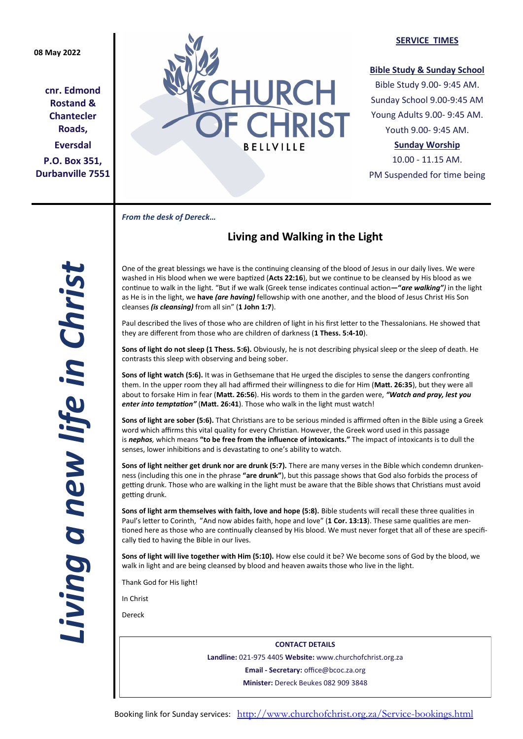## **08 May 2022**

**cnr. Edmond Rostand & Chantecler Roads, Eversdal P.O. Box 351, Durbanville 7551**



### **SERVICE TIMES**

### **Bible Study & Sunday School**

Bible Study 9.00- 9:45 AM. Sunday School 9.00-9:45 AM Young Adults 9.00- 9:45 AM. Youth 9.00- 9:45 AM.

# **Sunday Worship**

10.00 - 11.15 AM. PM Suspended for time being

*From the desk of Dereck…* 

# **Living and Walking in the Light**

One of the great blessings we have is the continuing cleansing of the blood of Jesus in our daily lives. We were washed in His blood when we were baptized (**Acts 22:16**), but we continue to be cleansed by His blood as we continue to walk in the light. "But if we walk (Greek tense indicates continual action**—"***are walking")* in the light as He is in the light, we **have** *(are having)* fellowship with one another, and the blood of Jesus Christ His Son cleanses *(is cleansing)* from all sin" (**1 John 1:7**).

Paul described the lives of those who are children of light in his first letter to the Thessalonians. He showed that they are different from those who are children of darkness (**1 Thess. 5:4-10**).

**Sons of light do not sleep (1 Thess. 5:6).** Obviously, he is not describing physical sleep or the sleep of death. He contrasts this sleep with observing and being sober.

**Sons of light watch (5:6).** It was in Gethsemane that He urged the disciples to sense the dangers confronting them. In the upper room they all had affirmed their willingness to die for Him (**Matt. 26:35**), but they were all about to forsake Him in fear (**Matt. 26:56**). His words to them in the garden were, *"Watch and pray, lest you enter into temptation"* (**Matt. 26:41**). Those who walk in the light must watch!

**Sons of light are sober (5:6).** That Christians are to be serious minded is affirmed often in the Bible using a Greek word which affirms this vital quality for every Christian. However, the Greek word used in this passage is *nephos,* which means **"to be free from the influence of intoxicants."** The impact of intoxicants is to dull the senses, lower inhibitions and is devastating to one's ability to watch.

**Sons of light neither get drunk nor are drunk (5:7).** There are many verses in the Bible which condemn drunkenness (including this one in the phrase **"are drunk"**), but this passage shows that God also forbids the process of getting drunk. Those who are walking in the light must be aware that the Bible shows that Christians must avoid getting drunk.

**Sons of light arm themselves with faith, love and hope (5:8).** Bible students will recall these three qualities in Paul's letter to Corinth, "And now abides faith, hope and love" (**1 Cor. 13:13**). These same qualities are mentioned here as those who are continually cleansed by His blood. We must never forget that all of these are specifically tied to having the Bible in our lives.

**Sons of light will live together with Him (5:10).** How else could it be? We become sons of God by the blood, we walk in light and are being cleansed by blood and heaven awaits those who live in the light.

Thank God for His light!

In Christ

Dereck

**CONTACT DETAILS Landline:** 021-975 4405 **Website:** www.churchofchrist.org.za **Email - Secretary:** office@bcoc.za.org **Minister:** Dereck Beukes 082 909 3848